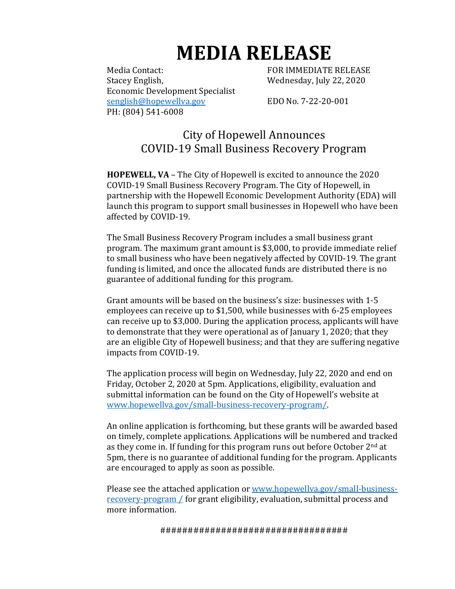# **MEDIA RELEASE**

Media Contact: The South of the FOR IMMEDIATE RELEASE Stacey English, Wednesday, July 22, 2020 Economic Development Specialist [senglish@hopewellva.gov](mailto:senglish@hopewellva.gov) EDO No. 7-22-20-001 PH: (804) 541-6008

# City of Hopewell Announces COVID-19 Small Business Recovery Program

**HOPEWELL, VA** – The City of Hopewell is excited to announce the 2020 COVID-19 Small Business Recovery Program. The City of Hopewell, in partnership with the Hopewell Economic Development Authority (EDA) will launch this program to support small businesses in Hopewell who have been affected by COVID-19.

The Small Business Recovery Program includes a small business grant program. The maximum grant amount is \$3,000, to provide immediate relief to small business who have been negatively affected by COVID-19. The grant funding is limited, and once the allocated funds are distributed there is no guarantee of additional funding for this program.

Grant amounts will be based on the business's size: businesses with 1-5 employees can receive up to \$1,500, while businesses with 6-25 employees can receive up to \$3,000. During the application process, applicants will have to demonstrate that they were operational as of January 1, 2020; that they are an eligible City of Hopewell business; and that they are suffering negative impacts from COVID-19.

The application process will begin on Wednesday, July 22, 2020 and end on Friday, October 2, 2020 at 5pm. Applications, eligibility, evaluation and submittal information can be found on the City of Hopewell's website at [www.hopewellva.gov/small-business-recovery-program/.](http://www.hopewellva.gov/small-business-recovery-program/)

An online application is forthcoming, but these grants will be awarded based on timely, complete applications. Applications will be numbered and tracked as they come in. If funding for this program runs out before October  $2<sup>nd</sup>$  at 5pm, there is no guarantee of additional funding for the program. Applicants are encouraged to apply as soon as possible.

Please see the attached application or [www.hopewellva.gov/small-business](http://www.hopewellva.gov/small-business-recovery-program%20/)[recovery-program /](http://www.hopewellva.gov/small-business-recovery-program%20/) for grant eligibility, evaluation, submittal process and more information.

##################################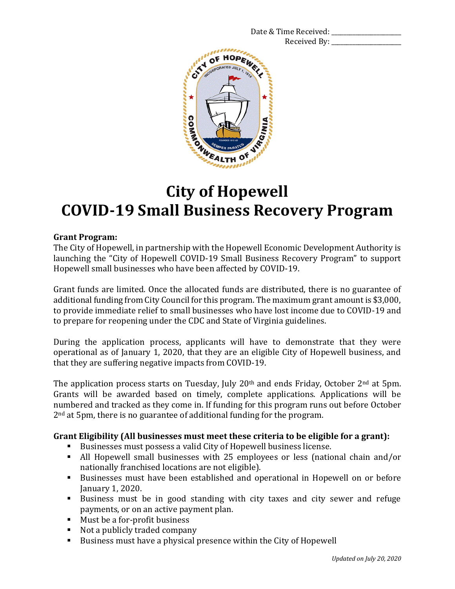Date & Time Received: Received By:



# **City of Hopewell COVID-19 Small Business Recovery Program**

# **Grant Program:**

The City of Hopewell, in partnership with the Hopewell Economic Development Authority is launching the "City of Hopewell COVID-19 Small Business Recovery Program" to support Hopewell small businesses who have been affected by COVID-19.

Grant funds are limited. Once the allocated funds are distributed, there is no guarantee of additional funding from City Council for this program. The maximum grant amount is \$3,000, to provide immediate relief to small businesses who have lost income due to COVID-19 and to prepare for reopening under the CDC and State of Virginia guidelines.

During the application process, applicants will have to demonstrate that they were operational as of January 1, 2020, that they are an eligible City of Hopewell business, and that they are suffering negative impacts from COVID-19.

The application process starts on Tuesday, July 20<sup>th</sup> and ends Friday. October 2<sup>nd</sup> at 5pm. Grants will be awarded based on timely, complete applications. Applications will be numbered and tracked as they come in. If funding for this program runs out before October 2nd at 5pm, there is no guarantee of additional funding for the program.

# **Grant Eligibility (All businesses must meet these criteria to be eligible for a grant):**

- Businesses must possess a valid City of Hopewell business license.
- All Hopewell small businesses with 25 employees or less (national chain and/or nationally franchised locations are not eligible).
- Businesses must have been established and operational in Hopewell on or before January 1, 2020.
- Business must be in good standing with city taxes and city sewer and refuge payments, or on an active payment plan.
- Must be a for-profit business
- Not a publicly traded company
- Business must have a physical presence within the City of Hopewell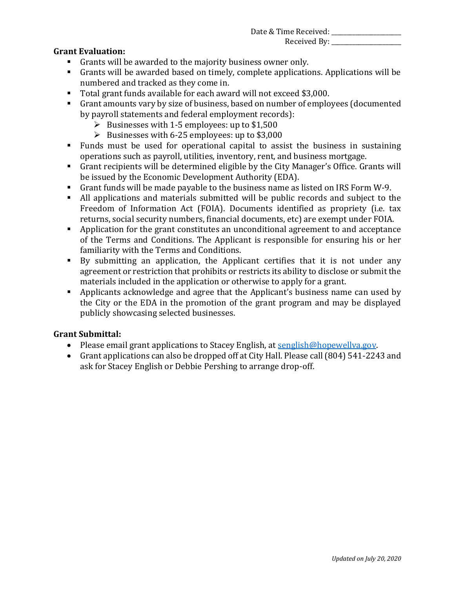Date & Time Received: \_\_\_\_\_\_\_\_\_\_\_\_\_\_\_\_\_\_\_\_\_\_\_ Received By: \_\_\_\_\_\_\_\_\_\_\_\_\_\_\_\_\_\_\_\_\_\_\_

# **Grant Evaluation:**

- Grants will be awarded to the majority business owner only.
- Grants will be awarded based on timely, complete applications. Applications will be numbered and tracked as they come in.
- Total grant funds available for each award will not exceed \$3,000.
- Grant amounts vary by size of business, based on number of employees (documented by payroll statements and federal employment records):
	- $\triangleright$  Businesses with 1-5 employees: up to \$1,500
	- ➢ Businesses with 6-25 employees: up to \$3,000
- Funds must be used for operational capital to assist the business in sustaining operations such as payroll, utilities, inventory, rent, and business mortgage.
- Grant recipients will be determined eligible by the City Manager's Office. Grants will be issued by the Economic Development Authority (EDA).
- Grant funds will be made payable to the business name as listed on IRS Form W-9.
- All applications and materials submitted will be public records and subject to the Freedom of Information Act (FOIA). Documents identified as propriety (i.e. tax returns, social security numbers, financial documents, etc) are exempt under FOIA.
- Application for the grant constitutes an unconditional agreement to and acceptance of the Terms and Conditions. The Applicant is responsible for ensuring his or her familiarity with the Terms and Conditions.
- By submitting an application, the Applicant certifies that it is not under any agreement or restriction that prohibits or restricts its ability to disclose or submit the materials included in the application or otherwise to apply for a grant.
- **EXECUTE:** Applicants acknowledge and agree that the Applicant's business name can used by the City or the EDA in the promotion of the grant program and may be displayed publicly showcasing selected businesses.

# **Grant Submittal:**

- Please email grant applications to Stacey English, at senglish@hopewellya.gov.
- Grant applications can also be dropped off at City Hall. Please call (804) 541-2243 and ask for Stacey English or Debbie Pershing to arrange drop-off.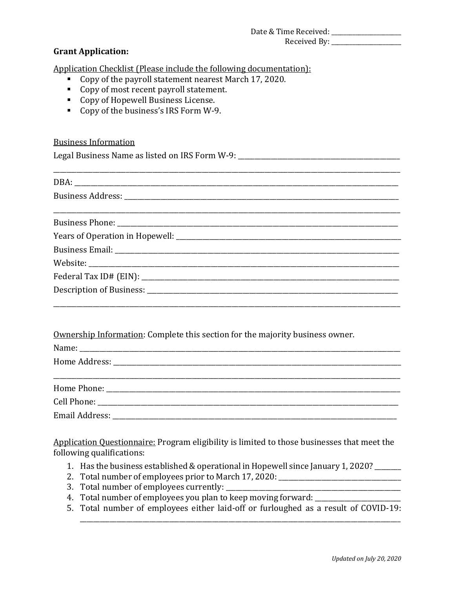#### Date & Time Received: \_\_\_\_\_\_\_\_\_\_\_\_\_\_\_\_\_\_\_\_\_\_\_ Received By: \_\_\_\_\_\_\_\_\_\_\_\_\_\_\_\_\_\_\_\_\_\_\_

# **Grant Application:**

Application Checklist (Please include the following documentation):

- Copy of the payroll statement nearest March 17, 2020.
- Copy of most recent payroll statement.
- Copy of Hopewell Business License.
- Copy of the business's IRS Form W-9.

### Business Information

Legal Business Name as listed on IRS Form W-9: \_\_\_\_\_\_\_\_\_\_\_\_\_\_\_\_\_\_\_\_\_\_\_\_\_\_\_\_\_\_\_\_\_

Ownership Information: Complete this section for the majority business owner.

Application Questionnaire: Program eligibility is limited to those businesses that meet the following qualifications:

- 1. Has the business established & operational in Hopewell since January 1, 2020? \_\_\_\_\_\_\_\_
- 2. Total number of employees prior to March 17, 2020: \_\_\_\_\_\_\_\_\_\_\_\_\_\_\_\_\_\_\_\_\_\_\_\_\_\_
- 3. Total number of employees currently: \_\_\_\_\_\_\_\_\_\_\_\_\_\_\_\_\_\_\_\_\_\_\_\_\_\_\_\_\_\_\_\_\_\_\_\_\_\_\_\_\_\_\_\_\_\_\_\_\_\_\_\_\_
- 4. Total number of employees you plan to keep moving forward: \_\_\_\_\_\_\_\_\_\_\_\_\_\_\_\_\_\_\_\_\_\_\_\_\_\_
- 5. Total number of employees either laid-off or furloughed as a result of COVID-19:

\_\_\_\_\_\_\_\_\_\_\_\_\_\_\_\_\_\_\_\_\_\_\_\_\_\_\_\_\_\_\_\_\_\_\_\_\_\_\_\_\_\_\_\_\_\_\_\_\_\_\_\_\_\_\_\_\_\_\_\_\_\_\_\_\_\_\_\_\_\_\_\_\_\_\_\_\_\_\_\_\_\_\_\_\_\_\_\_\_\_\_\_\_\_\_\_\_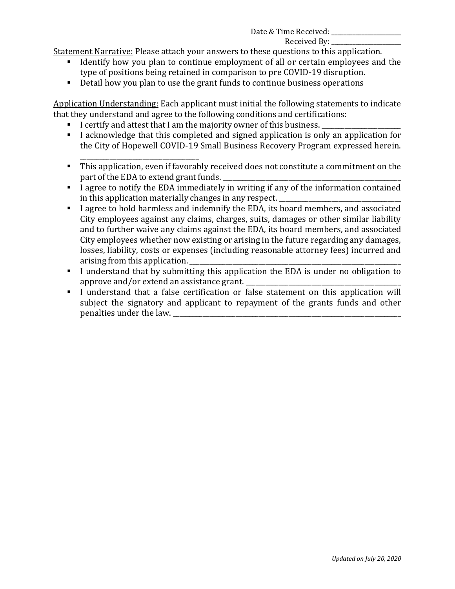## Date & Time Received:

### Received By:

Statement Narrative: Please attach your answers to these questions to this application.

- Identify how you plan to continue employment of all or certain employees and the type of positions being retained in comparison to pre COVID-19 disruption.
- Detail how you plan to use the grant funds to continue business operations

Application Understanding: Each applicant must initial the following statements to indicate that they understand and agree to the following conditions and certifications:

- I certify and attest that I am the majority owner of this business.
- I acknowledge that this completed and signed application is only an application for the City of Hopewell COVID-19 Small Business Recovery Program expressed herein.
- \_\_\_\_\_\_\_\_\_\_\_\_\_\_\_\_\_\_\_\_\_\_\_\_\_\_\_\_\_\_\_\_\_\_\_\_ ▪ This application, even if favorably received does not constitute a commitment on the part of the EDA to extend grant funds.
- I agree to notify the EDA immediately in writing if any of the information contained in this application materially changes in any respect.
- I agree to hold harmless and indemnify the EDA, its board members, and associated City employees against any claims, charges, suits, damages or other similar liability and to further waive any claims against the EDA, its board members, and associated City employees whether now existing or arising in the future regarding any damages, losses, liability, costs or expenses (including reasonable attorney fees) incurred and arising from this application.
- I understand that by submitting this application the EDA is under no obligation to approve and/or extend an assistance grant.
- I understand that a false certification or false statement on this application will subject the signatory and applicant to repayment of the grants funds and other penalties under the law. \_\_\_\_\_\_\_\_\_\_\_\_\_\_\_\_\_\_\_\_\_\_\_\_\_\_\_\_\_\_\_\_\_\_\_\_\_\_\_\_\_\_\_\_\_\_\_\_\_\_\_\_\_\_\_\_\_\_\_\_\_\_\_\_\_\_\_\_\_